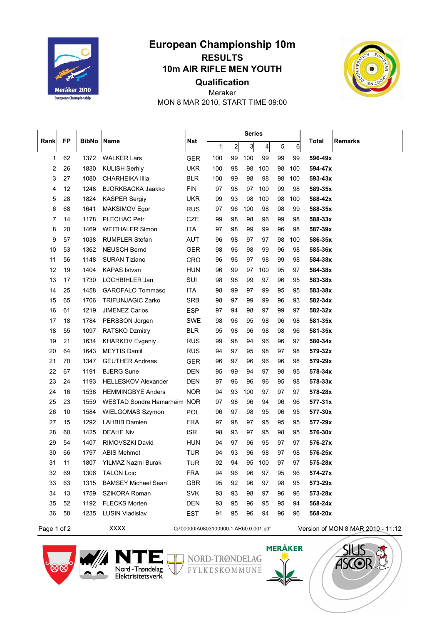

## **European Championship 10m RESULTS 10m AIR RIFLE MEN YOUTH Qualification**



Meraker MON 8 MAR 2010, START TIME 09:00

| Rank | <b>FP</b> | <b>BibNo</b> | Name                        | Nat        | <b>Series</b> |                |                |                |           |     |              |                |
|------|-----------|--------------|-----------------------------|------------|---------------|----------------|----------------|----------------|-----------|-----|--------------|----------------|
|      |           |              |                             |            | $\mathbf{1}$  | $\overline{2}$ | $\overline{3}$ | $\overline{4}$ | $5 \vert$ | 6   | <b>Total</b> | <b>Remarks</b> |
| 1    | 62        | 1372         | <b>WALKER Lars</b>          | <b>GER</b> | 100           | 99             | 100            | 99             | 99        | 99  | 596-49x      |                |
| 2    | 26        | 1830         | <b>KULISH Serhiy</b>        | <b>UKR</b> | 100           | 98             | 98             | 100            | 98        | 100 | 594-47x      |                |
| 3    | 27        | 1080         | <b>CHARHEIKA Illia</b>      | <b>BLR</b> | 100           | 99             | 98             | 98             | 98        | 100 | 593-43x      |                |
| 4    | 12        | 1248         | <b>BJORKBACKA Jaakko</b>    | <b>FIN</b> | 97            | 98             | 97             | 100            | 99        | 98  | 589-35x      |                |
| 5    | 28        | 1824         | <b>KASPER Sergiy</b>        | <b>UKR</b> | 99            | 93             | 98             | 100            | 98        | 100 | 588-42x      |                |
| 6    | 68        | 1641         | <b>MAKSIMOV Egor</b>        | <b>RUS</b> | 97            | 96             | 100            | 98             | 98        | 99  | 588-35x      |                |
| 7    | 14        | 1178         | PLECHAC Petr                | CZE        | 99            | 98             | 98             | 96             | 99        | 98  | 588-33x      |                |
| 8    | 20        | 1469         | <b>WEITHALER Simon</b>      | <b>ITA</b> | 97            | 98             | 99             | 99             | 96        | 98  | 587-39x      |                |
| 9    | 57        | 1038         | <b>RUMPLER Stefan</b>       | AUT        | 96            | 98             | 97             | 97             | 98        | 100 | 586-35x      |                |
| 10   | 53        | 1362         | <b>NEUSCH Bernd</b>         | <b>GER</b> | 98            | 96             | 98             | 99             | 96        | 98  | 585-36x      |                |
| 11   | 56        | 1148         | <b>SURAN Tiziano</b>        | <b>CRO</b> | 96            | 96             | 97             | 98             | 99        | 98  | 584-38x      |                |
| 12   | 19        | 1404         | <b>KAPAS Istvan</b>         | <b>HUN</b> | 96            | 99             | 97             | 100            | 95        | 97  | 584-38x      |                |
| 13   | 17        | 1730         | LOCHBIHLER Jan              | SUI        | 98            | 98             | 99             | 97             | 96        | 95  | 583-38x      |                |
| 14   | 25        | 1458         | GAROFALO Tommaso            | <b>ITA</b> | 98            | 99             | 97             | 99             | 95        | 95  | 583-38x      |                |
| 15   | 65        | 1706         | <b>TRIFUNJAGIC Zarko</b>    | <b>SRB</b> | 98            | 97             | 99             | 99             | 96        | 93  | 582-34x      |                |
| 16   | 61        | 1219         | <b>JIMENEZ Carlos</b>       | <b>ESP</b> | 97            | 94             | 98             | 97             | 99        | 97  | 582-32x      |                |
| 17   | 18        | 1784         | PERSSON Jorgen              | <b>SWE</b> | 98            | 96             | 95             | 98             | 96        | 98  | 581-35x      |                |
| 18   | 55        | 1097         | <b>RATSKO Dzmitry</b>       | <b>BLR</b> | 95            | 98             | 96             | 98             | 98        | 96  | 581-35x      |                |
| 19   | 21        | 1634         | <b>KHARKOV Evgeniy</b>      | <b>RUS</b> | 99            | 98             | 94             | 96             | 96        | 97  | 580-34x      |                |
| 20   | 64        | 1643         | <b>MEYTIS Daniil</b>        | <b>RUS</b> | 94            | 97             | 95             | 98             | 97        | 98  | 579-32x      |                |
| 21   | 70        | 1347         | <b>GEUTHER Andreas</b>      | <b>GER</b> | 96            | 97             | 96             | 96             | 96        | 98  | 579-29x      |                |
| 22   | 67        | 1191         | <b>BJERG Sune</b>           | <b>DEN</b> | 95            | 99             | 94             | 97             | 98        | 95  | 578-34x      |                |
| 23   | 24        | 1193         | <b>HELLESKOV Alexander</b>  | <b>DEN</b> | 97            | 96             | 96             | 96             | 95        | 98  | 578-33x      |                |
| 24   | 16        | 1538         | <b>HEMMINGBYE Anders</b>    | <b>NOR</b> | 94            | 93             | 100            | 97             | 97        | 97  | 578-28x      |                |
| 25   | 23        | 1559         | WESTAD Sondre Hamarheim NOR |            | 97            | 98             | 96             | 94             | 96        | 96  | 577-31x      |                |
| 26   | 10        | 1584         | WIELGOMAS Szymon            | <b>POL</b> | 96            | 97             | 98             | 95             | 96        | 95  | 577-30x      |                |
| 27   | 15        | 1292         | <b>LAHBIB Damien</b>        | <b>FRA</b> | 97            | 98             | 97             | 95             | 95        | 95  | 577-29x      |                |
| 28   | 60        | 1425         | <b>DEAHE Niv</b>            | <b>ISR</b> | 98            | 93             | 97             | 95             | 98        | 95  | 576-30x      |                |
| 29   | 54        | 1407         | RIMOVSZKI David             | <b>HUN</b> | 94            | 97             | 96             | 95             | 97        | 97  | 576-27x      |                |
| 30   | 66        | 1797         | <b>ABIS Mehmet</b>          | <b>TUR</b> | 94            | 93             | 96             | 98             | 97        | 98  | 576-25x      |                |
| 31   | 11        | 1807         | YILMAZ Nazmi Burak          | TUR        | 92            | 94             | 95             | 100            | 97        | 97  | 575-28x      |                |
| 32   | 69        | 1306         | <b>TALON Loic</b>           | <b>FRA</b> | 94            | 96             | 96             | 97             | 95        | 96  | 574-27x      |                |
| 33   | 63        | 1315         | <b>BAMSEY Michael Sean</b>  | <b>GBR</b> | 95            | 92             | 96             | 97             | 98        | 95  | 573-29x      |                |
| 34   | 13        | 1759         | SZIKORA Roman               | <b>SVK</b> | 93            | 93             | 98             | 97             | 96        | 96  | 573-28x      |                |
| 35   | 52        | 1192         | <b>FLECKS Morten</b>        | <b>DEN</b> | 93            | 95             | 96             | 95             | 95        | 94  | 568-24x      |                |
| 36   | 58        | 1235         | LUSIN Vladislav             | EST        | 91            | 95             | 96             | 94             | 96        | 96  | 568-20x      |                |

## Page 1 of 2 XXXX <br>
Q700000IA0803100900.1.AR60.0.001.pdf Version of MON 8 MAR 2010 - 11:12





NORD-TRØNDELAG FYLKESKOMMUNE

**MERÅKER** 

 $\blacktriangleright$